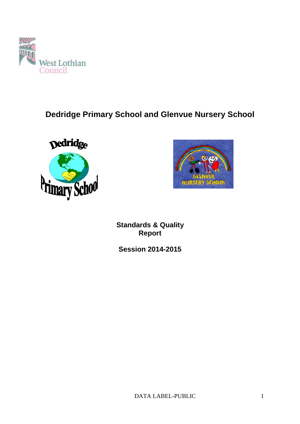

# **Dedridge Primary School and Glenvue Nursery School**





**Standards & Quality Report** 

**Session 2014-2015**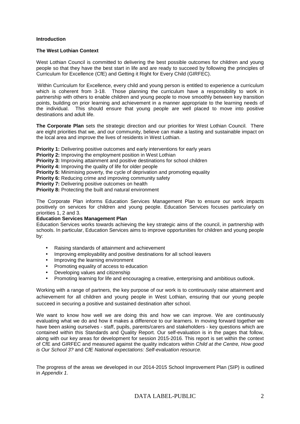#### **Introduction**

#### **The West Lothian Context**

West Lothian Council is committed to delivering the best possible outcomes for children and young people so that they have the best start in life and are ready to succeed by following the principles of Curriculum for Excellence (CfE) and Getting it Right for Every Child (GIRFEC).

 Within Curriculum for Excellence, every child and young person is entitled to experience a curriculum which is coherent from 3-18. Those planning the curriculum have a responsibility to work in partnership with others to enable children and young people to move smoothly between key transition points, building on prior learning and achievement in a manner appropriate to the learning needs of the individual. This should ensure that young people are well placed to move into positive destinations and adult life.

**The Corporate Plan** sets the strategic direction and our priorities for West Lothian Council. There are eight priorities that we, and our community, believe can make a lasting and sustainable impact on the local area and improve the lives of residents in West Lothian.

**Priority 1:** Delivering positive outcomes and early interventions for early years

**Priority 2:** Improving the employment position in West Lothian

**Priority 3:** Improving attainment and positive destinations for school children

**Priority 4:** Improving the quality of life for older people

**Priority 5:** Minimising poverty, the cycle of deprivation and promoting equality

**Priority 6:** Reducing crime and improving community safety

**Priority 7:** Delivering positive outcomes on health

**Priority 8:** Protecting the built and natural environment

The Corporate Plan informs Education Services Management Plan to ensure our work impacts positively on services for children and young people. Education Services focuses particularly on priorities 1, 2 and 3.

#### **Education Services Management Plan**

Education Services works towards achieving the key strategic aims of the council, in partnership with schools. In particular, Education Services aims to improve opportunities for children and young people by:

- Raising standards of attainment and achievement
- Improving employability and positive destinations for all school leavers
- Improving the learning environment
- Promoting equality of access to education
- Developing values and citizenship
- Promoting learning for life and encouraging a creative, enterprising and ambitious outlook.

Working with a range of partners, the key purpose of our work is to continuously raise attainment and achievement for all children and young people in West Lothian, ensuring that our young people succeed in securing a positive and sustained destination after school.

We want to know how well we are doing this and how we can improve. We are continuously evaluating what we do and how it makes a difference to our learners. In moving forward together we have been asking ourselves - staff, pupils, parents/carers and stakeholders - key questions which are contained within this Standards and Quality Report. Our self-evaluation is in the pages that follow, along with our key areas for development for session 2015-2016. This report is set within the context of CfE and GIRFEC and measured against the quality indicators within Child at the Centre, How good is Our School 3? and CfE National expectations: Self-evaluation resource.

The progress of the areas we developed in our 2014-2015 School Improvement Plan (SIP) is outlined in Appendix 1.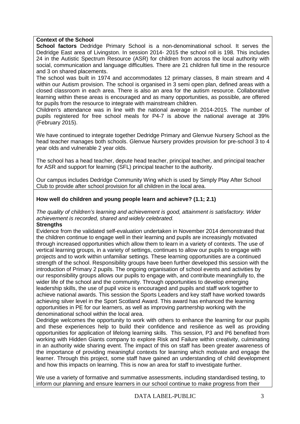### **Context of the School**

**School factors** Dedridge Primary School is a non-denominational school. It serves the Dedridge East area of Livingston. In session 2014- 2015 the school roll is 198. This includes 24 in the Autistic Spectrum Resource (ASR) for children from across the local authority with social, communication and language difficulties. There are 21 children full time in the resource and 3 on shared placements.

The school was built in 1974 and accommodates 12 primary classes, 8 main stream and 4 within our Autism provision. The school is organised in 3 semi open plan, defined areas with a closed classroom in each area. There is also an area for the autism resource. Collaborative learning within these areas is encouraged and as many opportunities, as possible, are offered for pupils from the resource to integrate with mainstream children.

Children's attendance was in line with the national average in 2014-2015. The number of pupils registered for free school meals for P4-7 is above the national average at 39% (February 2015).

We have continued to integrate together Dedridge Primary and Glenvue Nursery School as the head teacher manages both schools. Glenvue Nursery provides provision for pre-school 3 to 4 year olds and vulnerable 2 year olds.

The school has a head teacher, depute head teacher, principal teacher, and principal teacher for ASR and support for learning (SFL) principal teacher to the authority.

Our campus includes Dedridge Community Wing which is used by Simply Play After School Club to provide after school provision for all children in the local area.

# **How well do children and young people learn and achieve? (1.1; 2.1)**

The quality of children's learning and achievement is good, attainment is satisfactory. Wider achievement is recorded, shared and widely celebrated.

### **Strengths**

Evidence from the validated self-evaluation undertaken in November 2014 demonstrated that the children continue to engage well in their learning and pupils are increasingly motivated through increased opportunities which allow them to learn in a variety of contexts. The use of vertical learning groups, in a variety of settings, continues to allow our pupils to engage with projects and to work within unfamiliar settings. These learning opportunities are a continued strength of the school. Responsibility groups have been further developed this session with the introduction of Primary 2 pupils. The ongoing organisation of school events and activities by our responsibility groups allows our pupils to engage with, and contribute meaningfully to, the wider life of the school and the community. Through opportunities to develop emerging leadership skills, the use of pupil voice is encouraged and pupils and staff work together to achieve national awards. This session the Sports Leaders and key staff have worked towards achieving silver level in the Sport Scotland Award. This award has enhanced the learning opportunities in PE for our learners, as well as improving partnership working with the denominational school within the local area.

Dedridge welcomes the opportunity to work with others to enhance the learning for our pupils and these experiences help to build their confidence and resilience as well as providing opportunities for application of lifelong learning skills. This session, P3 and P6 benefited from working with Hidden Giants company to explore Risk and Failure within creativity, culminating in an authority wide sharing event. The impact of this on staff has been greater awareness of the importance of providing meaningful contexts for learning which motivate and engage the learner. Through this project, some staff have gained an understanding of child development and how this impacts on learning. This is now an area for staff to investigate further.

We use a variety of formative and summative assessments, including standardised testing, to inform our planning and ensure learners in our school continue to make progress from their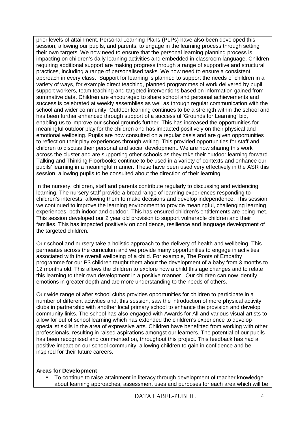prior levels of attainment. Personal Learning Plans (PLPs) have also been developed this session, allowing our pupils, and parents, to engage in the learning process through setting their own targets. We now need to ensure that the personal learning planning process is impacting on children's daily learning activities and embedded in classroom language. Children requiring additional support are making progress through a range of supportive and structural practices, including a range of personalised tasks. We now need to ensure a consistent approach in every class. Support for learning is planned to support the needs of children in a variety of ways, for example direct teaching, planned programmes of work delivered by pupil support workers, team teaching and targeted interventions based on information gained from summative data. Children are encouraged to share school and personal achievements and success is celebrated at weekly assemblies as well as through regular communication with the school and wider community. Outdoor learning continues to be a strength within the school and has been further enhanced through support of a successful 'Grounds for Learning' bid, enabling us to improve our school grounds further. This has increased the opportunities for meaningful outdoor play for the children and has impacted positively on their physical and emotional wellbeing. Pupils are now consulted on a regular basis and are given opportunities to reflect on their play experiences through writing. This provided opportunities for staff and children to discuss their personal and social development. We are now sharing this work across the cluster and are supporting other schools as they take their outdoor learning forward. Talking and Thinking Floorbooks continue to be used in a variety of contexts and enhance our pupils' learning in a meaningful manner. These have been used very effectively in the ASR this session, allowing pupils to be consulted about the direction of their learning.

In the nursery, children, staff and parents contribute regularly to discussing and evidencing learning. The nursery staff provide a broad range of learning experiences responding to children's interests, allowing them to make decisions and develop independence. This session, we continued to improve the learning environment to provide meaningful, challenging learning experiences, both indoor and outdoor. This has ensured children's entitlements are being met. This session developed our 2 year old provision to support vulnerable children and their families. This has impacted positively on confidence, resilience and language development of the targeted children.

Our school and nursery take a holistic approach to the delivery of health and wellbeing. This permeates across the curriculum and we provide many opportunities to engage in activities associated with the overall wellbeing of a child. For example, The Roots of Empathy programme for our P3 children taught them about the development of a baby from 3 months to 12 months old. This allows the children to explore how a child this age changes and to relate this learning to their own development in a positive manner. Our children can now identify emotions in greater depth and are more understanding to the needs of others.

Our wide range of after school clubs provides opportunities for children to participate in a number of different activities and, this session, saw the introduction of more physical activity clubs in partnership with another local primary school to enhance the provision and develop community links. The school has also engaged with Awards for All and various visual artists to allow for out of school learning which has extended the children's experience to develop specialist skills in the area of expressive arts. Children have benefitted from working with other professionals, resulting in raised aspirations amongst our learners. The potential of our pupils has been recognised and commented on, throughout this project. This feedback has had a positive impact on our school community, allowing children to gain in confidence and be inspired for their future careers.

# **Areas for Development**

• To continue to raise attainment in literacy through development of teacher knowledge about learning approaches, assessment uses and purposes for each area which will be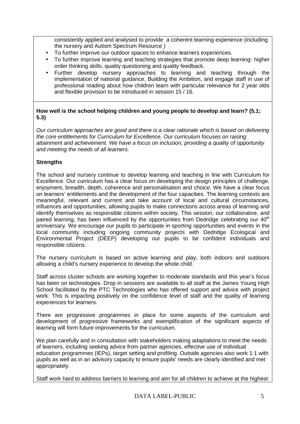consistently applied and analysed to provide a coherent learning experience (including the nursery and Autism Spectrum Resource )

- To further improve our outdoor spaces to enhance learners experiences.
- To further improve learning and teaching strategies that promote deep learning- higher order thinking skills, quality questioning and quality feedback.
- Further develop nursery approaches to learning and teaching through the implementation of national guidance, Building the Ambition, and engage staff in use of professional reading about how children learn with particular relevance for 2 year olds and flexible provision to be introduced in session 15 / 16.

# **How well is the school helping children and young people to develop and learn? (5.1; 5.3)**

Our curriculum approaches are good and there is a clear rationale which is based on delivering the core entitlements for Curriculum for Excellence. Our curriculum focuses on raising attainment and achievement. We have a focus on inclusion, providing a quality of opportunity and meeting the needs of all learners.

# **Strengths**

The school and nursery continue to develop learning and teaching in line with Curriculum for Excellence. Our curriculum has a clear focus on developing the design principles of challenge, enjoyment, breadth, depth, coherence and personalisation and choice. We have a clear focus on learners' entitlements and the development of the four capacities. The learning contexts are meaningful, relevant and current and take account of local and cultural circumstances, influences and opportunities, allowing pupils to make connections across areas of learning and identify themselves as responsible citizens within society. This session, our collaborative, and paired learning, has been influenced by the opportunities from Dedridge celebrating our  $40<sup>th</sup>$ anniversary. We encourage our pupils to participate in sporting opportunities and events in the local community including ongoing community projects with Dedridge Ecological and Environmental Project (DEEP) developing our pupils to be confident individuals and responsible citizens.

The nursery curriculum is based on active learning and play, both indoors and outdoors allowing a child's nursery experience to develop the whole child.

Staff across cluster schools are working together to moderate standards and this year's focus has been on technologies. Drop in sessions are available to all staff at the James Young High School facilitated by the PTC Technologies who has offered support and advice with project work. This is impacting positively on the confidence level of staff and the quality of learning experiences for learners.

There are progressive programmes in place for some aspects of the curriculum and development of progressive frameworks and exemplification of the significant aspects of learning will form future improvements for the curriculum.

We plan carefully and in consultation with stakeholders making adaptations to meet the needs of learners, including seeking advice from partner agencies, effective use of individual education programmes (IEPs), target setting and profiling. Outside agencies also work 1:1 with pupils as well as in an advisory capacity to ensure pupils' needs are clearly identified and met appropriately.

Staff work hard to address barriers to learning and aim for all children to achieve at the highest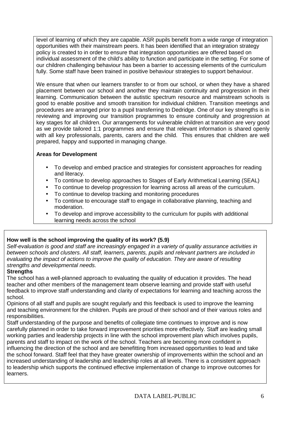level of learning of which they are capable. ASR pupils benefit from a wide range of integration opportunities with their mainstream peers. It has been identified that an integration strategy policy is created to in order to ensure that integration opportunities are offered based on individual assessment of the child's ability to function and participate in the setting. For some of our children challenging behaviour has been a barrier to accessing elements of the curriculum fully. Some staff have been trained in positive behaviour strategies to support behaviour.

We ensure that when our learners transfer to or from our school, or when they have a shared placement between our school and another they maintain continuity and progression in their learning. Communication between the autistic spectrum resource and mainstream schools is good to enable positive and smooth transition for individual children. Transition meetings and procedures are arranged prior to a pupil transferring to Dedridge. One of our key strengths is in reviewing and improving our transition programmes to ensure continuity and progression at key stages for all children. Our arrangements for vulnerable children at transition are very good as we provide tailored 1:1 programmes and ensure that relevant information is shared openly with all key professionals, parents, carers and the child. This ensures that children are well prepared, happy and supported in managing change.

# **Areas for Development**

- To develop and embed practice and strategies for consistent approaches for reading and literacy.
- To continue to develop approaches to Stages of Early Arithmetical Learning (SEAL)
- To continue to develop progression for learning across all areas of the curriculum.
- To continue to develop tracking and monitoring procedures
- To continue to encourage staff to engage in collaborative planning, teaching and moderation.
- To develop and improve accessibility to the curriculum for pupils with additional learning needs across the school

# **How well is the school improving the quality of its work? (5.9)**

Self-evaluation is good and staff are increasingly engaged in a variety of quality assurance activities in between schools and clusters. All staff, learners, parents, pupils and relevant partners are included in evaluating the impact of actions to improve the quality of education. They are aware of resulting strengths and developmental needs.

# **Strengths**

The school has a well-planned approach to evaluating the quality of education it provides. The head teacher and other members of the management team observe learning and provide staff with useful feedback to improve staff understanding and clarity of expectations for learning and teaching across the school.

Opinions of all staff and pupils are sought regularly and this feedback is used to improve the learning and teaching environment for the children. Pupils are proud of their school and of their various roles and responsibilities.

Staff understanding of the purpose and benefits of collegiate time continues to improve and is now carefully planned in order to take forward improvement priorities more effectively. Staff are leading small working parties and leadership projects in line with the school improvement plan which involves pupils, parents and staff to impact on the work of the school. Teachers are becoming more confident in influencing the direction of the school and are benefitting from increased opportunities to lead and take the school forward. Staff feel that they have greater ownership of improvements within the school and an increased understanding of leadership and leadership roles at all levels. There is a consistent approach to leadership which supports the continued effective implementation of change to improve outcomes for learners.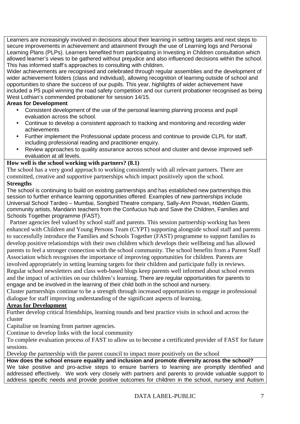Learners are increasingly involved in decisions about their learning in setting targets and next steps to secure improvements in achievement and attainment through the use of Learning logs and Personal Learning Plans (PLPs). Learners benefited from participating in Investing in Children consultation which allowed learner's views to be gathered without prejudice and also influenced decisions within the school. This has informed staff's approaches to consulting with children.

Wider achievements are recognised and celebrated through regular assemblies and the development of wider achievement folders (class and individual), allowing recognition of learning outside of school and opportunities to share the success of our pupils. This year, highlights of wider achievement have included a P5 pupil winning the road safety competition and our current probationer recognised as being West Lothian's commended probationer for session 14/15.

# **Areas for Development**

- Consistent development of the use of the personal learning planning process and pupil evaluation across the school.
- Continue to develop a consistent approach to tracking and monitoring and recording wider achievements
- Further implement the Professional update process and continue to provide CLPL for staff, including professional reading and practitioner enquiry.
- Review approaches to quality assurance across school and cluster and devise improved selfevaluation at all levels.

# **How well is the school working with partners? (8.1)**

The school has a very good approach to working consistently with all relevant partners. There are committed, creative and supportive partnerships which impact positively upon the school.

# **Strengths**

The school is continuing to build on existing partnerships and has established new partnerships this session to further enhance learning opportunities offered. Examples of new partnerships include Universal School Tardeo – Mumbai, Songbird Theatre company, Sally-Ann Provan, Hidden Giants, community artists, Mandarin teachers from the Confucius hub and Save the Children, Families and Schools Together programme (FAST).

 Partner agencies feel valued by school staff and parents. This session partnership working has been enhanced with Children and Young Persons Team (CYPT) supporting alongside school staff and parents to successfully introduce the Families and Schools Together (FAST) programme to support families to develop positive relationships with their own children which develops their wellbeing and has allowed parents to feel a stronger connection with the school community. The school benefits from a Parent Staff Association which recognises the importance of improving opportunities for children. Parents are involved appropriately in setting learning targets for their children and participate fully in reviews. Regular school newsletters and class web-based blogs keep parents well informed about school events and the impact of activities on our children's learning. There are regular opportunities for parents to engage and be involved in the learning of their child both in the school and nursery.

Cluster partnerships continue to be a strength through increased opportunities to engage in professional dialogue for staff improving understanding of the significant aspects of learning.

# **Areas for Development**

Further develop critical friendships, learning rounds and best practice visits in school and across the cluster

Capitalise on learning from partner agencies.

Continue to develop links with the local community

To complete evaluation process of FAST to allow us to become a certificated provider of FAST for future sessions.

Develop the partnership with the parent council to impact more positively on the school

**How does the school ensure equality and inclusion and promote diversity across the school?** We take positive and pro-active steps to ensure barriers to learning are promptly identified and addressed effectively. We work very closely with partners and parents to provide valuable support to address specific needs and provide positive outcomes for children in the school, nursery and Autism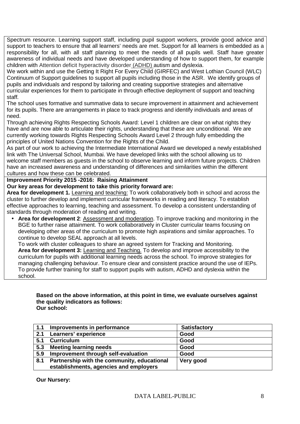Spectrum resource. Learning support staff, including pupil support workers, provide good advice and support to teachers to ensure that all learners' needs are met. Support for all learners is embedded as a responsibility for all, with all staff planning to meet the needs of all pupils well. Staff have greater awareness of individual needs and have developed understanding of how to support them, for example children with Attention deficit hyperactivity disorder (ADHD) autism and dyslexia.

We work within and use the Getting It Right For Every Child (GIRFEC) and West Lothian Council (WLC) Continuum of Support guidelines to support all pupils including those in the ASR. We identify groups of pupils and individuals and respond by tailoring and creating supportive strategies and alternative curricular experiences for them to participate in through effective deployment of support and teaching staff.

The school uses formative and summative data to secure improvement in attainment and achievement for its pupils. There are arrangements in place to track progress and identify individuals and areas of need.

Through achieving Rights Respecting Schools Award: Level 1 children are clear on what rights they have and are now able to articulate their rights, understanding that these are unconditional. We are currently working towards Rights Respecting Schools Award Level 2 through fully embedding the principles of United Nations Convention for the Rights of the Child.

As part of our work to achieving the Intermediate International Award we developed a newly established link with The Universal School, Mumbai. We have developed links with the school allowing us to welcome staff members as guests in the school to observe learning and inform future projects. Children have an increased awareness and understanding of differences and similarities within the different cultures and how these can be celebrated.

# **Improvement Priority 2015 -2016: Raising Attainment**

**Our key areas for development to take this priority forward are:** 

**Area for development 1.** Learning and teaching: To work collaboratively both in school and across the cluster to further develop and implement curricular frameworks in reading and literacy. To establish effective approaches to learning, teaching and assessment. To develop a consistent understanding of standards through moderation of reading and writing.

• **Area for development 2**: Assessment and moderation. To improve tracking and monitoring in the BGE to further raise attainment. To work collaboratively in Cluster curricular teams focusing on developing other areas of the curriculum to promote high aspirations and similar approaches. To continue to develop SEAL approach at all levels.

To work with cluster colleagues to share an agreed system for Tracking and Monitoring. **Area for development 3:** Learning and Teaching. To develop and improve accessibility to the curriculum for pupils with additional learning needs across the school. To improve strategies for managing challenging behaviour. To ensure clear and consistent practice around the use of IEPs. To provide further training for staff to support pupils with autism, ADHD and dyslexia within the school.

#### **Based on the above information, at this point in time, we evaluate ourselves against the quality indicators as follows: Our school:**

| 1.1 | Improvements in performance                 | <b>Satisfactory</b> |
|-----|---------------------------------------------|---------------------|
| 2.1 | Learners' experience                        | Good                |
| 5.1 | <b>Curriculum</b>                           | Good                |
| 5.3 | <b>Meeting learning needs</b>               | Good                |
| 5.9 | Improvement through self-evaluation         | Good                |
| 8.1 | Partnership with the community, educational | Very good           |
|     | establishments, agencies and employers      |                     |

**Our Nursery:**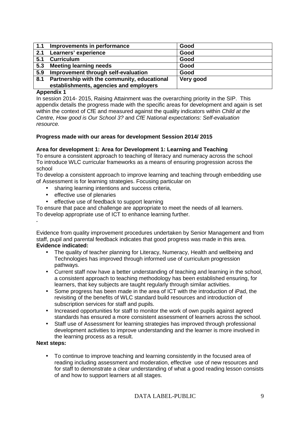| 1.1 | Improvements in performance                 | Good      |
|-----|---------------------------------------------|-----------|
| 2.1 | Learners' experience                        | Good      |
| 5.1 | <b>Curriculum</b>                           | Good      |
| 5.3 | <b>Meeting learning needs</b>               | Good      |
| 5.9 | Improvement through self-evaluation         | Good      |
| 8.1 | Partnership with the community, educational | Very good |
|     | establishments, agencies and employers      |           |

### **Appendix 1**

In session 2014- 2015, Raising Attainment was the overarching priority in the SIP. This appendix details the progress made with the specific areas for development and again is set within the context of CfE and measured against the quality indicators within Child at the Centre, How good is Our School 3? and CfE National expectations: Self-evaluation resource.

### **Progress made with our areas for development Session 2014/ 2015**

### **Area for development 1: Area for Development 1: Learning and Teaching**

To ensure a consistent approach to teaching of literacy and numeracy across the school To introduce WLC curricular frameworks as a means of ensuring progression across the school

To develop a consistent approach to improve learning and teaching through embedding use of Assessment is for learning strategies. Focusing particular on

- sharing learning intentions and success criteria,
- effective use of plenaries
- effective use of feedback to support learning

To ensure that pace and challenge are appropriate to meet the needs of all learners.

To develop appropriate use of ICT to enhance learning further.

Evidence from quality improvement procedures undertaken by Senior Management and from staff, pupil and parental feedback indicates that good progress was made in this area. **Evidence indicated:** 

- The quality of teacher planning for Literacy, Numeracy, Health and wellbeing and Technologies has improved through informed use of curriculum progression pathways.
- Current staff now have a better understanding of teaching and learning in the school, a consistent approach to teaching methodology has been established ensuring, for learners, that key subjects are taught regularly through similar activities.
- Some progress has been made in the area of ICT with the introduction of iPad, the revisiting of the benefits of WLC standard build resources and introduction of subscription services for staff and pupils.
- Increased opportunities for staff to monitor the work of own pupils against agreed standards has ensured a more consistent assessment of learners across the school.
- Staff use of Assessment for learning strategies has improved through professional development activities to improve understanding and the learner is more involved in the learning process as a result.

# **Next steps:**

**.** 

• To continue to improve teaching and learning consistently in the focused area of reading including assessment and moderation, effective use of new resources and for staff to demonstrate a clear understanding of what a good reading lesson consists of and how to support learners at all stages.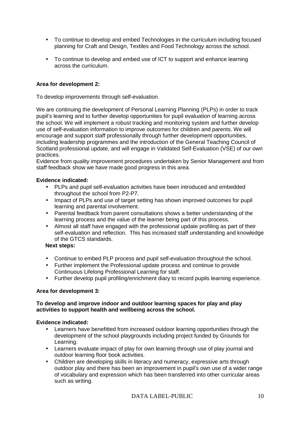- To continue to develop and embed Technologies in the curriculum including focused planning for Craft and Design, Textiles and Food Technology across the school.
- To continue to develop and embed use of ICT to support and enhance learning across the curriculum.

# **Area for development 2:**

To develop improvements through self-evaluation.

We are continuing the development of Personal Learning Planning (PLPs) in order to track pupil's learning and to further develop opportunities for pupil evaluation of learning across the school. We will implement a robust tracking and monitoring system and further develop use of self-evaluation information to improve outcomes for children and parents. We will encourage and support staff professionally through further development opportunities, including leadership programmes and the introduction of the General Teaching Council of Scotland professional update, and will engage in Validated Self-Evaluation (VSE) of our own practices.

Evidence from quality improvement procedures undertaken by Senior Management and from staff feedback show we have made good progress in this area.

### **Evidence indicated:**

- PLPs and pupil self-evaluation activities have been introduced and embedded throughout the school from P2-P7.
- Impact of PLPs and use of target setting has shown improved outcomes for pupil learning and parental involvement.
- Parental feedback from parent consultations shows a better understanding of the learning process and the value of the learner being part of this process.
- Almost all staff have engaged with the professional update profiling as part of their self-evaluation and reflection. This has increased staff understanding and knowledge of the GTCS standards.

#### **Next steps:**

- Continue to embed PLP process and pupil self-evaluation throughout the school.
- Further implement the Professional update process and continue to provide Continuous Lifelong Professional Learning for staff.
- Further develop pupil profiling/enrichment diary to record pupils learning experience.

### **Area for development 3:**

### **To develop and improve indoor and outdoor learning spaces for play and play activities to support health and wellbeing across the school.**

#### **Evidence indicated:**

- Learners have benefitted from increased outdoor learning opportunities through the development of the school playgrounds including project funded by Grounds for Learning.
- Learners evaluate impact of play for own learning through use of play journal and outdoor learning floor book activities.
- Children are developing skills in literacy and numeracy, expressive arts through outdoor play and there has been an improvement in pupil's own use of a wider range of vocabulary and expression which has been transferred into other curricular areas such as writing.